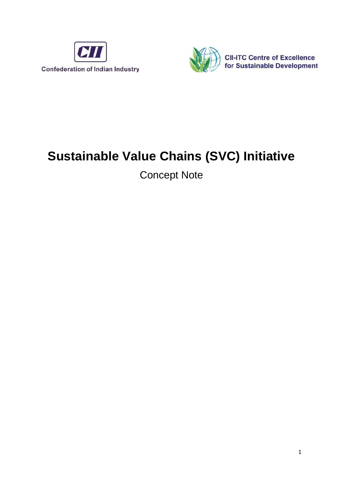



# **Sustainable Value Chains (SVC) Initiative**

Concept Note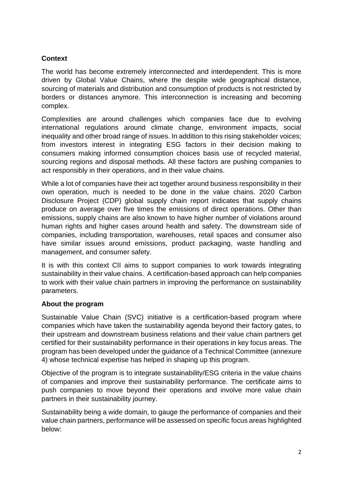# **Context**

The world has become extremely interconnected and interdependent. This is more driven by Global Value Chains, where the despite wide geographical distance, sourcing of materials and distribution and consumption of products is not restricted by borders or distances anymore. This interconnection is increasing and becoming complex.

Complexities are around challenges which companies face due to evolving international regulations around climate change, environment impacts, social inequality and other broad range of issues. In addition to this rising stakeholder voices; from investors interest in integrating ESG factors in their decision making to consumers making informed consumption choices basis use of recycled material, sourcing regions and disposal methods. All these factors are pushing companies to act responsibly in their operations, and in their value chains.

While a lot of companies have their act together around business responsibility in their own operation, much is needed to be done in the value chains. 2020 Carbon Disclosure Project (CDP) global supply chain report indicates that supply chains produce on average over five times the emissions of direct operations. Other than emissions, supply chains are also known to have higher number of violations around human rights and higher cases around health and safety. The downstream side of companies, including transportation, warehouses, retail spaces and consumer also have similar issues around emissions, product packaging, waste handling and management, and consumer safety.

It is with this context CII aims to support companies to work towards integrating sustainability in their value chains. A certification-based approach can help companies to work with their value chain partners in improving the performance on sustainability parameters.

# **About the program**

Sustainable Value Chain (SVC) initiative is a certification-based program where companies which have taken the sustainability agenda beyond their factory gates, to their upstream and downstream business relations and their value chain partners get certified for their sustainability performance in their operations in key focus areas. The program has been developed under the guidance of a Technical Committee (annexure 4) whose technical expertise has helped in shaping up this program.

Objective of the program is to integrate sustainability/ESG criteria in the value chains of companies and improve their sustainability performance. The certificate aims to push companies to move beyond their operations and involve more value chain partners in their sustainability journey.

Sustainability being a wide domain, to gauge the performance of companies and their value chain partners, performance will be assessed on specific focus areas highlighted below: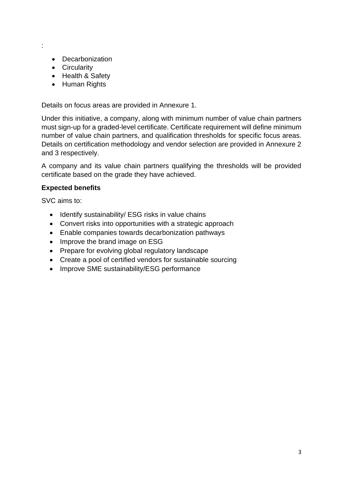:

- Decarbonization
- Circularity
- Health & Safety
- Human Rights

Details on focus areas are provided in Annexure 1.

Under this initiative, a company, along with minimum number of value chain partners must sign-up for a graded-level certificate. Certificate requirement will define minimum number of value chain partners, and qualification thresholds for specific focus areas. Details on certification methodology and vendor selection are provided in Annexure 2 and 3 respectively.

A company and its value chain partners qualifying the thresholds will be provided certificate based on the grade they have achieved.

### **Expected benefits**

SVC aims to:

- Identify sustainability/ ESG risks in value chains
- Convert risks into opportunities with a strategic approach
- Enable companies towards decarbonization pathways
- Improve the brand image on ESG
- Prepare for evolving global regulatory landscape
- Create a pool of certified vendors for sustainable sourcing
- Improve SME sustainability/ESG performance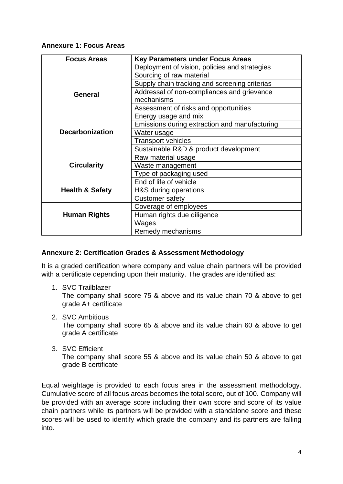### **Annexure 1: Focus Areas**

| <b>Focus Areas</b>         | <b>Key Parameters under Focus Areas</b>       |  |
|----------------------------|-----------------------------------------------|--|
|                            | Deployment of vision, policies and strategies |  |
|                            | Sourcing of raw material                      |  |
|                            | Supply chain tracking and screening criterias |  |
| <b>General</b>             | Addressal of non-compliances and grievance    |  |
|                            | mechanisms                                    |  |
|                            | Assessment of risks and opportunities         |  |
| <b>Decarbonization</b>     | Energy usage and mix                          |  |
|                            | Emissions during extraction and manufacturing |  |
|                            | Water usage                                   |  |
|                            | <b>Transport vehicles</b>                     |  |
|                            | Sustainable R&D & product development         |  |
| <b>Circularity</b>         | Raw material usage                            |  |
|                            | Waste management                              |  |
|                            | Type of packaging used                        |  |
|                            | End of life of vehicle                        |  |
| <b>Health &amp; Safety</b> | H&S during operations                         |  |
|                            | <b>Customer safety</b>                        |  |
| <b>Human Rights</b>        | Coverage of employees                         |  |
|                            | Human rights due diligence                    |  |
|                            | Wages                                         |  |
|                            | Remedy mechanisms                             |  |

# **Annexure 2: Certification Grades & Assessment Methodology**

It is a graded certification where company and value chain partners will be provided with a certificate depending upon their maturity. The grades are identified as:

1. SVC Trailblazer

The company shall score 75 & above and its value chain 70 & above to get grade A+ certificate

2. SVC Ambitious

The company shall score 65 & above and its value chain 60 & above to get grade A certificate

3. SVC Efficient

The company shall score 55 & above and its value chain 50 & above to get grade B certificate

Equal weightage is provided to each focus area in the assessment methodology. Cumulative score of all focus areas becomes the total score, out of 100. Company will be provided with an average score including their own score and score of its value chain partners while its partners will be provided with a standalone score and these scores will be used to identify which grade the company and its partners are falling into.